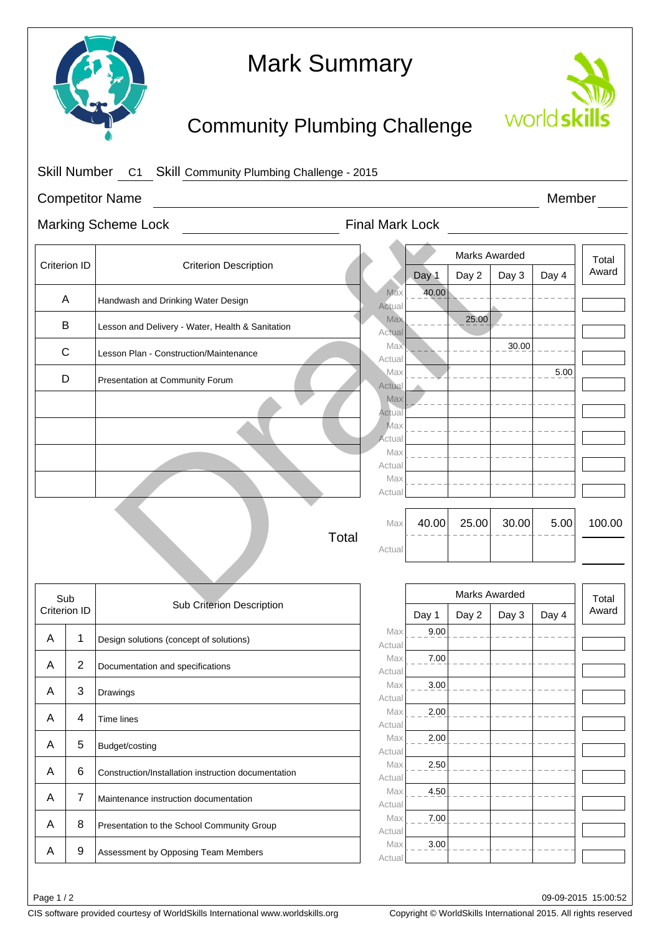

# Mark Summary

## Community Plumbing Challenge



|                        |                | Skill Number C1 Skill Community Plumbing Challenge - 2015 |                         |               |               |       |       |        |
|------------------------|----------------|-----------------------------------------------------------|-------------------------|---------------|---------------|-------|-------|--------|
| <b>Competitor Name</b> |                |                                                           |                         | Member        |               |       |       |        |
|                        |                | <b>Marking Scheme Lock</b>                                | <b>Final Mark Lock</b>  |               |               |       |       |        |
| Criterion ID           |                |                                                           |                         |               | Marks Awarded |       |       | Total  |
|                        |                | <b>Criterion Description</b>                              |                         | Day 1         | Day 2         | Day 3 | Day 4 | Award  |
| A                      |                | Handwash and Drinking Water Design                        | Max<br>Actual           | 40.00         |               |       |       |        |
| B                      |                | Lesson and Delivery - Water, Health & Sanitation          | Max<br>Actual           |               | 25.00         |       |       |        |
| C                      |                | Lesson Plan - Construction/Maintenance                    | <b>Max</b><br>Actual    |               |               | 30.00 |       |        |
| D                      |                | Presentation at Community Forum                           | Max<br>Actual           |               |               |       | 5.00  |        |
|                        |                |                                                           | Max                     |               |               |       |       |        |
|                        |                |                                                           | Actual<br>Max           |               |               |       |       |        |
|                        |                |                                                           | Actua<br>Max            |               |               |       |       |        |
|                        |                |                                                           | Actual                  |               |               |       |       |        |
|                        |                |                                                           | Max<br>Actua            |               |               |       |       |        |
|                        |                | Total                                                     | Max                     | 40.00         | 25.00         | 30.00 | 5.00  | 100.00 |
|                        |                |                                                           | Actual                  |               |               |       |       |        |
| Sub                    |                | Sub Criterion Description                                 |                         | Marks Awarded |               |       |       | Total  |
| Criterion ID           |                |                                                           |                         | Day 1         | Day 2         | Day 3 | Day 4 | Award  |
| A                      | 1              | Design solutions (concept of solutions)                   | Max<br>Actual           | 9.00          |               |       |       |        |
| A                      | $\overline{c}$ | Documentation and specifications                          | Max<br>Actual           | 7.00          |               |       |       |        |
| Α                      | 3              | Drawings                                                  | Max<br>Actual           | 3.00          |               |       |       |        |
| Α                      | 4              | Time lines                                                | Max<br>Actual           | 2.00          |               |       |       |        |
| Α                      | 5              | Budget/costing                                            | Max<br>Actual           | 2.00          |               |       |       |        |
| Α                      | 6              | Construction/Installation instruction documentation       | Max                     | 2.50          |               |       |       |        |
| Α                      | $\overline{7}$ | Maintenance instruction documentation                     | Actual<br>Max<br>Actual | 4.50          |               |       |       |        |
| Α                      | 8              | Presentation to the School Community Group                | Max<br>Actual           | 7.00          |               |       |       |        |
|                        |                |                                                           | Max                     | 3.00          |               |       |       |        |
| Α                      | 9              | Assessment by Opposing Team Members                       | Actual                  |               |               |       |       |        |

Page 1 / 2

CIS software provided courtesy of WorldSkills International www.worldskills.org Copyright © WorldSkills International 2015. All rights reserved

09-09-2015 15:00:52